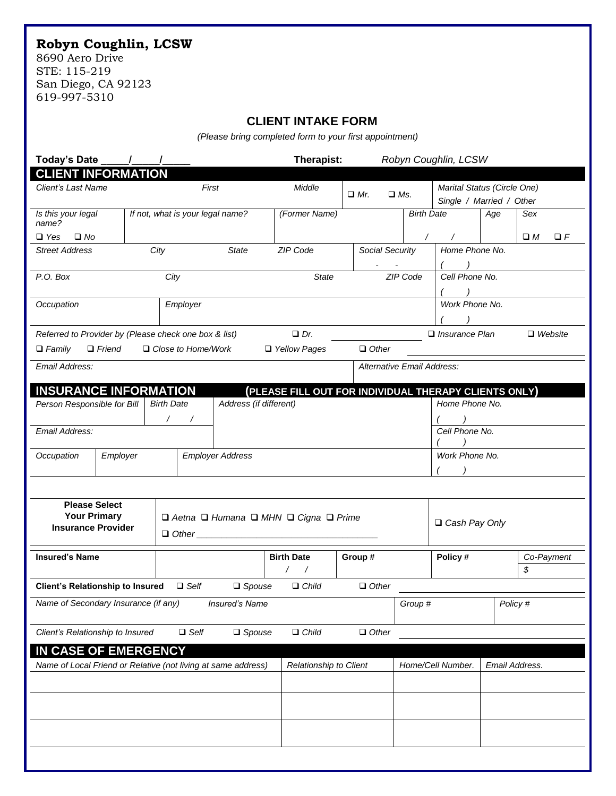## **Robyn Coughlin, LCSW**

8690 Aero Drive STE: 115-219 San Diego, CA 92123 619-997-5310

## **CLIENT INTAKE FORM**

*(Please bring completed form to your first appointment)*

| Today's Date                                                             |                                                 |  |                                                               |                           |               |  | Therapist:                                            |         |                            |                          | Robyn Coughlin, LCSW                                    |          |                  |            |
|--------------------------------------------------------------------------|-------------------------------------------------|--|---------------------------------------------------------------|---------------------------|---------------|--|-------------------------------------------------------|---------|----------------------------|--------------------------|---------------------------------------------------------|----------|------------------|------------|
|                                                                          | <b>CLIENT INFORMATION</b><br>Client's Last Name |  |                                                               | First                     |               |  | Middle                                                |         | $\Box$ Mr.<br>$\Box$ Ms.   |                          | Marital Status (Circle One)<br>Single / Married / Other |          |                  |            |
| name?                                                                    | Is this your legal                              |  | If not, what is your legal name?                              |                           |               |  | (Former Name)                                         |         |                            |                          | <b>Birth Date</b>                                       | Age      | Sex              |            |
| $\Box$ Yes                                                               | $\Box$ No                                       |  |                                                               |                           |               |  |                                                       |         |                            | $\sqrt{2}$<br>$\sqrt{2}$ |                                                         |          | $\square$ $M$    | $\Box$ $F$ |
| <b>Street Address</b>                                                    |                                                 |  | City<br><b>State</b>                                          |                           |               |  | ZIP Code<br>Social Security                           |         |                            |                          | Home Phone No.                                          |          |                  |            |
| P.O. Box                                                                 |                                                 |  | City                                                          |                           |               |  | <b>State</b>                                          |         |                            | ZIP Code                 | Cell Phone No.                                          |          |                  |            |
| Occupation                                                               |                                                 |  | Employer                                                      |                           |               |  |                                                       |         |                            |                          | Work Phone No.                                          |          |                  |            |
| Referred to Provider by (Please check one box & list)                    |                                                 |  |                                                               |                           |               |  | $Dr$ .                                                |         |                            |                          | $\Box$ Insurance Plan                                   |          | $\Box$ Website   |            |
| $\Box$ Family                                                            | $\Box$ Friend                                   |  |                                                               | $\Box$ Close to Home/Work |               |  | □ Yellow Pages                                        |         | $\Box$ Other               |                          |                                                         |          |                  |            |
| Email Address:                                                           |                                                 |  |                                                               |                           |               |  |                                                       |         | Alternative Email Address: |                          |                                                         |          |                  |            |
| <b>INSURANCE INFORMATION</b>                                             |                                                 |  |                                                               |                           |               |  | (PLEASE FILL OUT FOR INDIVIDUAL THERAPY CLIENTS ONLY) |         |                            |                          |                                                         |          |                  |            |
| Person Responsible for Bill                                              |                                                 |  | Address (if different)<br><b>Birth Date</b>                   |                           |               |  |                                                       |         |                            |                          | Home Phone No.                                          |          |                  |            |
| Email Address:                                                           |                                                 |  |                                                               |                           |               |  |                                                       |         |                            |                          | Cell Phone No.                                          |          |                  |            |
|                                                                          |                                                 |  |                                                               |                           |               |  |                                                       |         |                            |                          |                                                         |          |                  |            |
| Occupation<br>Employer                                                   |                                                 |  | <b>Employer Address</b>                                       |                           |               |  |                                                       |         |                            | Work Phone No.           |                                                         |          |                  |            |
|                                                                          |                                                 |  |                                                               |                           |               |  |                                                       |         |                            |                          |                                                         |          |                  |            |
| <b>Please Select</b><br><b>Your Primary</b><br><b>Insurance Provider</b> |                                                 |  | □ Aetna □ Humana □ MHN □ Cigna □ Prime<br>$\Box$ Other $\Box$ |                           |               |  |                                                       |         |                            |                          | □ Cash Pay Only                                         |          |                  |            |
| <b>Insured's Name</b>                                                    |                                                 |  |                                                               |                           |               |  | <b>Birth Date</b><br>$\sqrt{2}$<br>$\sqrt{2}$         | Group#  |                            |                          | Policy#                                                 |          | Co-Payment<br>\$ |            |
| <b>Client's Relationship to Insured</b>                                  |                                                 |  |                                                               | $\Box$ Self               | $\Box$ Spouse |  | $\Box$ Child                                          |         | $\Box$ Other               |                          |                                                         |          |                  |            |
| Name of Secondary Insurance (if any)                                     |                                                 |  |                                                               | Insured's Name            |               |  |                                                       | Group # |                            |                          |                                                         | Policy # |                  |            |
| Client's Relationship to Insured                                         |                                                 |  |                                                               | $\Box$ Self               | $\Box$ Spouse |  | $\Box$ Child                                          |         | $\Box$ Other               |                          |                                                         |          |                  |            |
| IN CASE OF EMERGENCY                                                     |                                                 |  |                                                               |                           |               |  |                                                       |         |                            |                          |                                                         |          |                  |            |
| Name of Local Friend or Relative (not living at same address)            |                                                 |  |                                                               |                           |               |  | Relationship to Client                                |         |                            | Home/Cell Number.        | Email Address.                                          |          |                  |            |
|                                                                          |                                                 |  |                                                               |                           |               |  |                                                       |         |                            |                          |                                                         |          |                  |            |
|                                                                          |                                                 |  |                                                               |                           |               |  |                                                       |         |                            |                          |                                                         |          |                  |            |
|                                                                          |                                                 |  |                                                               |                           |               |  |                                                       |         |                            |                          |                                                         |          |                  |            |